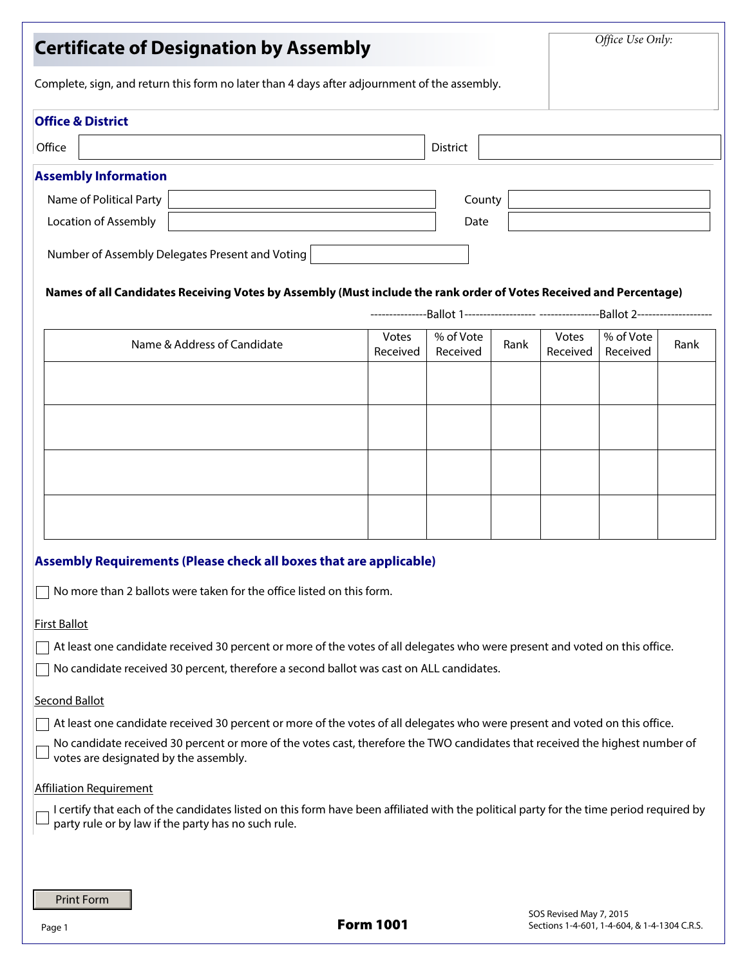| <b>Certificate of Designation by Assembly</b>                                                                                                                                                  |                   | Office Use Only:      |                                              |                         |                       |      |
|------------------------------------------------------------------------------------------------------------------------------------------------------------------------------------------------|-------------------|-----------------------|----------------------------------------------|-------------------------|-----------------------|------|
| Complete, sign, and return this form no later than 4 days after adjournment of the assembly.                                                                                                   |                   |                       |                                              |                         |                       |      |
| <b>Office &amp; District</b>                                                                                                                                                                   |                   |                       |                                              |                         |                       |      |
| Office                                                                                                                                                                                         |                   | <b>District</b>       |                                              |                         |                       |      |
| <b>Assembly Information</b>                                                                                                                                                                    |                   |                       |                                              |                         |                       |      |
| Name of Political Party                                                                                                                                                                        | County            |                       |                                              |                         |                       |      |
| Location of Assembly                                                                                                                                                                           | Date              |                       |                                              |                         |                       |      |
| Number of Assembly Delegates Present and Voting                                                                                                                                                |                   |                       |                                              |                         |                       |      |
| Names of all Candidates Receiving Votes by Assembly (Must include the rank order of Votes Received and Percentage)                                                                             |                   |                       |                                              |                         |                       |      |
|                                                                                                                                                                                                |                   |                       |                                              |                         |                       |      |
| Name & Address of Candidate                                                                                                                                                                    | Votes<br>Received | % of Vote<br>Received | Rank                                         | Votes<br>Received       | % of Vote<br>Received | Rank |
|                                                                                                                                                                                                |                   |                       |                                              |                         |                       |      |
|                                                                                                                                                                                                |                   |                       |                                              |                         |                       |      |
|                                                                                                                                                                                                |                   |                       |                                              |                         |                       |      |
|                                                                                                                                                                                                |                   |                       |                                              |                         |                       |      |
|                                                                                                                                                                                                |                   |                       |                                              |                         |                       |      |
|                                                                                                                                                                                                |                   |                       |                                              |                         |                       |      |
|                                                                                                                                                                                                |                   |                       |                                              |                         |                       |      |
|                                                                                                                                                                                                |                   |                       |                                              |                         |                       |      |
| Assembly Requirements (Please check all boxes that are applicable)                                                                                                                             |                   |                       |                                              |                         |                       |      |
| No more than 2 ballots were taken for the office listed on this form.                                                                                                                          |                   |                       |                                              |                         |                       |      |
|                                                                                                                                                                                                |                   |                       |                                              |                         |                       |      |
| <b>First Ballot</b>                                                                                                                                                                            |                   |                       |                                              |                         |                       |      |
| At least one candidate received 30 percent or more of the votes of all delegates who were present and voted on this office.                                                                    |                   |                       |                                              |                         |                       |      |
| No candidate received 30 percent, therefore a second ballot was cast on ALL candidates.                                                                                                        |                   |                       |                                              |                         |                       |      |
| <b>Second Ballot</b>                                                                                                                                                                           |                   |                       |                                              |                         |                       |      |
| At least one candidate received 30 percent or more of the votes of all delegates who were present and voted on this office.                                                                    |                   |                       |                                              |                         |                       |      |
| No candidate received 30 percent or more of the votes cast, therefore the TWO candidates that received the highest number of<br>votes are designated by the assembly.                          |                   |                       |                                              |                         |                       |      |
| <b>Affiliation Requirement</b>                                                                                                                                                                 |                   |                       |                                              |                         |                       |      |
| I certify that each of the candidates listed on this form have been affiliated with the political party for the time period required by<br>party rule or by law if the party has no such rule. |                   |                       |                                              |                         |                       |      |
|                                                                                                                                                                                                |                   |                       |                                              |                         |                       |      |
| <b>Print Form</b>                                                                                                                                                                              | <b>Form 1001</b>  |                       |                                              | SOS Revised May 7, 2015 |                       |      |
| Page 1                                                                                                                                                                                         |                   |                       | Sections 1-4-601, 1-4-604, & 1-4-1304 C.R.S. |                         |                       |      |